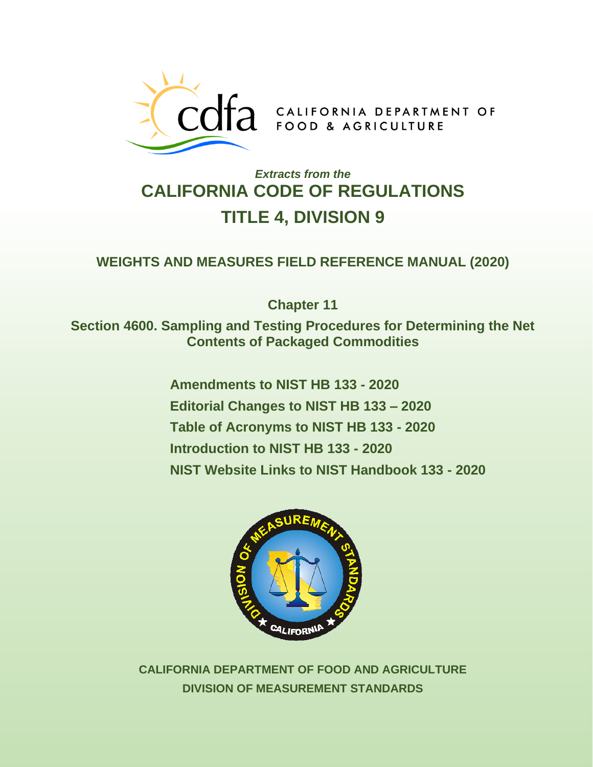

## *Extracts from the*  **CALIFORNIA CODE OF REGULATIONS TITLE 4, DIVISION 9**

## **WEIGHTS AND MEASURES FIELD REFERENCE MANUAL (2020)**

**Chapter 11** 

**Section 4600. Sampling and Testing Procedures for Determining the Net Contents of Packaged Commodities** 

> **Amendments to NIST HB 133 - 2020 Editorial Changes to NIST HB 133 – 2020 Table of Acronyms to NIST HB 133 - 2020 Introduction to NIST HB 133 - 2020 NIST Website [Links to NIST Handbook 133 - 2020](http://www.nist.gov/pml/wmd/pubs/hb133.cfm)**



**CALIFORNIA DEPARTMENT OF FOOD AND AGRICULTURE DIVISION OF MEASUREMENT STANDARDS**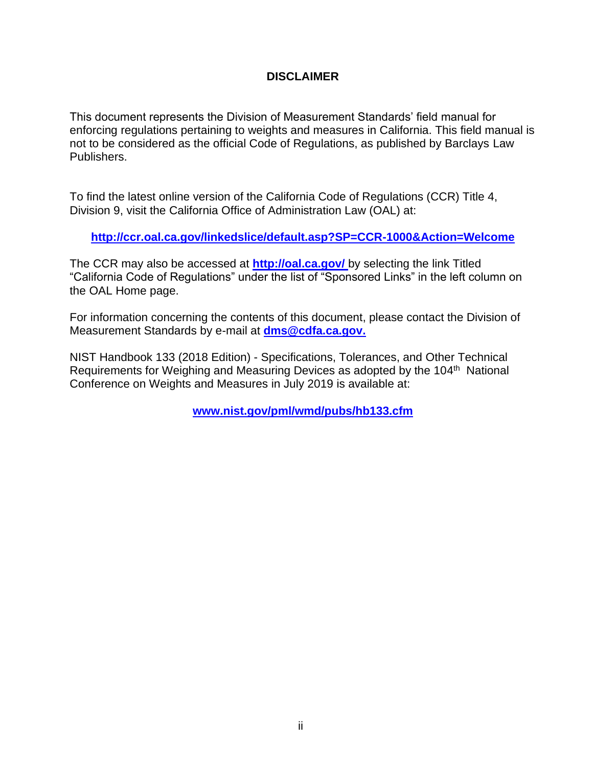#### **DISCLAIMER**

This document represents the Division of Measurement Standards' field manual for enforcing regulations pertaining to weights and measures in California. This field manual is not to be considered as the official Code of Regulations, as published by Barclays Law Publishers.

To find the latest online version of the California Code of Regulations (CCR) Title 4, Division 9, visit the California Office of Administration Law (OAL) at:

**<http://ccr.oal.ca.gov/linkedslice/default.asp?SP=CCR-1000&Action=Welcome>**

The CCR may also be accessed at **<http://oal.ca.gov/>** by selecting the link Titled "California Code of Regulations" under the list of "Sponsored Links" in the left column on the OAL Home page.

For information concerning the contents of this document, please contact the Division of Measurement Standards by e-mail at **[dms@cdfa.ca.gov.](mailto:dms@cdfa.ca.gov)**

NIST Handbook 133 (2018 Edition) - Specifications, Tolerances, and Other Technical Requirements for Weighing and Measuring Devices as adopted by the 104<sup>th</sup> National Conference on Weights and Measures in July 2019 is available at:

**[www.nist.gov/pml/wmd/pubs/hb133.cfm](http://www.nist.gov/pml/wmd/pubs/hb133.cfm)**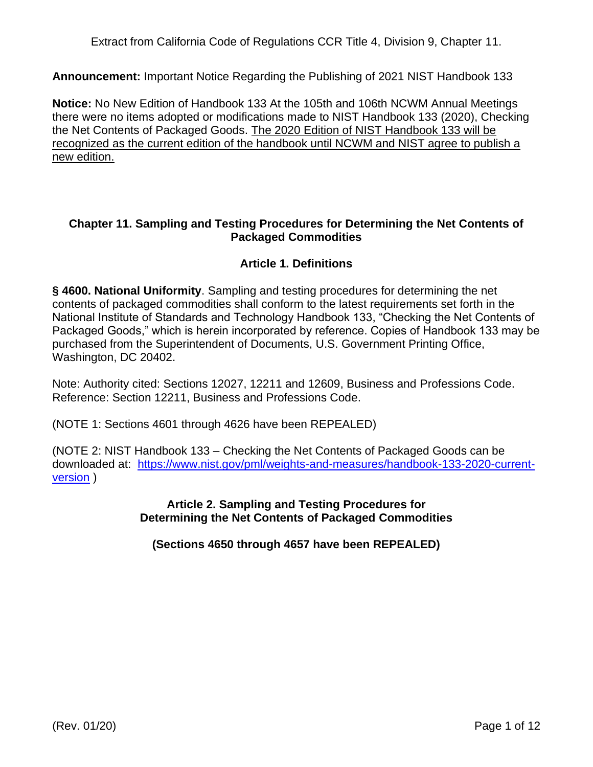Extract from California Code of Regulations CCR Title 4, Division 9, Chapter 11.

**Announcement:** Important Notice Regarding the Publishing of 2021 NIST Handbook 133

**Notice:** No New Edition of Handbook 133 At the 105th and 106th NCWM Annual Meetings there were no items adopted or modifications made to NIST Handbook 133 (2020), Checking the Net Contents of Packaged Goods. The 2020 Edition of NIST Handbook 133 will be recognized as the current edition of the handbook until NCWM and NIST agree to publish a new edition.

#### **Chapter 11. Sampling and Testing Procedures for Determining the Net Contents of Packaged Commodities**

## **Article 1. Definitions**

**§ 4600. National Uniformity**. Sampling and testing procedures for determining the net contents of packaged commodities shall conform to the latest requirements set forth in the National Institute of Standards and Technology Handbook 133, "Checking the Net Contents of Packaged Goods," which is herein incorporated by reference. Copies of Handbook 133 may be purchased from the Superintendent of Documents, U.S. Government Printing Office, Washington, DC 20402.

Note: Authority cited: Sections 12027, 12211 and 12609, Business and Professions Code. Reference: Section 12211, Business and Professions Code.

(NOTE 1: Sections 4601 through 4626 have been REPEALED)

(NOTE 2: NIST Handbook 133 – Checking the Net Contents of Packaged Goods can be downloaded at: [https://www.nist.gov/pml/weights-and-measures/handbook-133-2020-current](https://www.nist.gov/pml/weights-and-measures/handbook-133-2020-current-version)[version](https://www.nist.gov/pml/weights-and-measures/handbook-133-2020-current-version) )

> **Article 2. Sampling and Testing Procedures for Determining the Net Contents of Packaged Commodities**

**(Sections 4650 through 4657 have been REPEALED)**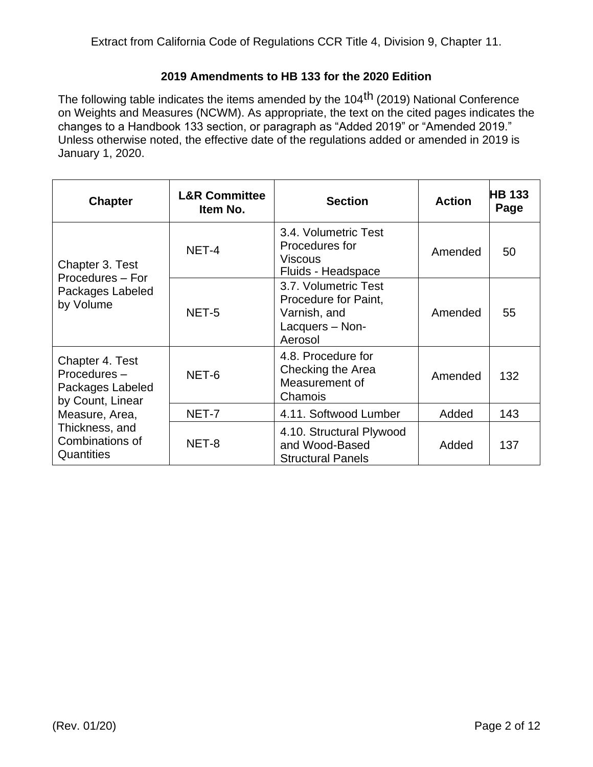#### **2019 Amendments to HB 133 for the 2020 Edition**

The following table indicates the items amended by the 104<sup>th</sup> (2019) National Conference on Weights and Measures (NCWM). As appropriate, the text on the cited pages indicates the changes to a Handbook 133 section, or paragraph as "Added 2019" or "Amended 2019." Unless otherwise noted, the effective date of the regulations added or amended in 2019 is January 1, 2020.

| <b>Chapter</b>                                                                                                                              | <b>L&amp;R Committee</b><br>Item No. | <b>Section</b>                                                                             | <b>Action</b> | <b>HB 133</b><br>Page |
|---------------------------------------------------------------------------------------------------------------------------------------------|--------------------------------------|--------------------------------------------------------------------------------------------|---------------|-----------------------|
| Chapter 3. Test<br>Procedures - For<br>Packages Labeled<br>by Volume                                                                        | NET-4                                | 3.4. Volumetric Test<br>Procedures for<br><b>Viscous</b><br>Fluids - Headspace             | Amended       | 50                    |
|                                                                                                                                             | NET-5                                | 3.7. Volumetric Test<br>Procedure for Paint,<br>Varnish, and<br>Lacquers - Non-<br>Aerosol | Amended       | 55                    |
| Chapter 4. Test<br>Procedures-<br>Packages Labeled<br>by Count, Linear<br>Measure, Area,<br>Thickness, and<br>Combinations of<br>Quantities | NET-6                                | 4.8. Procedure for<br>Checking the Area<br>Measurement of<br>Chamois                       | Amended       | 132                   |
|                                                                                                                                             | NET-7                                | 4.11. Softwood Lumber                                                                      | Added         | 143                   |
|                                                                                                                                             | NET-8                                | 4.10. Structural Plywood<br>and Wood-Based<br><b>Structural Panels</b>                     | Added         | 137                   |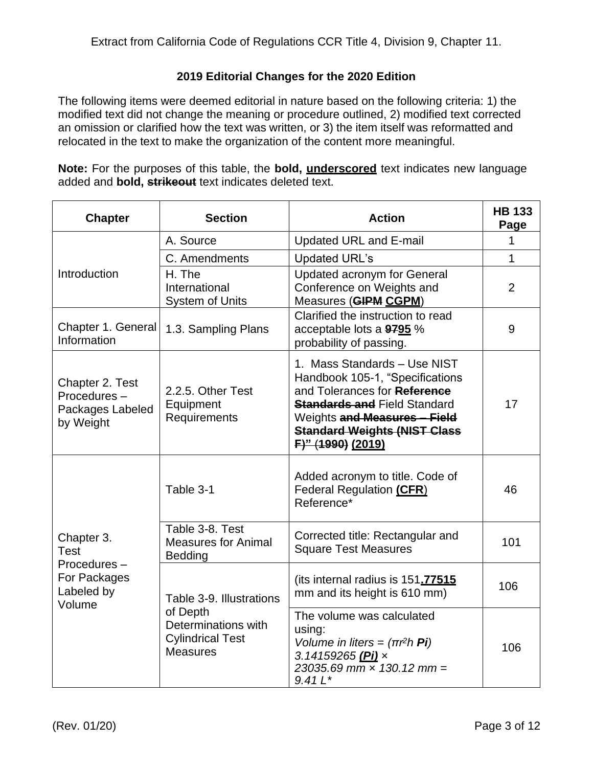#### **2019 Editorial Changes for the 2020 Edition**

The following items were deemed editorial in nature based on the following criteria: 1) the modified text did not change the meaning or procedure outlined, 2) modified text corrected an omission or clarified how the text was written, or 3) the item itself was reformatted and relocated in the text to make the organization of the content more meaningful.

**Note:** For the purposes of this table, the **bold, underscored** text indicates new language added and **bold, strikeout** text indicates deleted text.

| <b>Chapter</b>                                                            | <b>Section</b>                                                                                            | <b>Action</b>                                                                                                                                                                                                                      | <b>HB 133</b><br>Page |
|---------------------------------------------------------------------------|-----------------------------------------------------------------------------------------------------------|------------------------------------------------------------------------------------------------------------------------------------------------------------------------------------------------------------------------------------|-----------------------|
|                                                                           | A. Source                                                                                                 | <b>Updated URL and E-mail</b>                                                                                                                                                                                                      | 1                     |
| Introduction                                                              | C. Amendments                                                                                             | <b>Updated URL's</b>                                                                                                                                                                                                               | 1                     |
|                                                                           | H. The<br>International<br><b>System of Units</b>                                                         | <b>Updated acronym for General</b><br>Conference on Weights and<br>Measures (GIPM CGPM)                                                                                                                                            | $\overline{2}$        |
| Chapter 1. General<br>Information                                         | 1.3. Sampling Plans                                                                                       | Clarified the instruction to read<br>acceptable lots a 9795 %<br>probability of passing.                                                                                                                                           | 9                     |
| Chapter 2. Test<br>Procedures-<br>Packages Labeled<br>by Weight           | 2.2.5. Other Test<br>Equipment<br>Requirements                                                            | 1. Mass Standards - Use NIST<br>Handbook 105-1, "Specifications<br>and Tolerances for Reference<br><b>Standards and Field Standard</b><br>Weights and Measures - Field<br><b>Standard Weights (NIST Class</b><br>F)" (1990) (2019) | 17                    |
| Chapter 3.<br>Test<br>Procedures-<br>For Packages<br>Labeled by<br>Volume | Table 3-1                                                                                                 | Added acronym to title. Code of<br>Federal Regulation (CFR)<br>Reference*                                                                                                                                                          | 46                    |
|                                                                           | Table 3-8. Test<br><b>Measures for Animal</b><br>Bedding                                                  | Corrected title: Rectangular and<br><b>Square Test Measures</b>                                                                                                                                                                    | 101                   |
|                                                                           | Table 3-9. Illustrations<br>of Depth<br>Determinations with<br><b>Cylindrical Test</b><br><b>Measures</b> | (its internal radius is 151.77515<br>mm and its height is 610 mm)                                                                                                                                                                  | 106                   |
|                                                                           |                                                                                                           | The volume was calculated<br>using:<br>Volume in liters = $(\pi r^2 h \mathbf{Pi})$<br>3.14159265 (Pi) x<br>$23035.69$ mm $\times$ 130.12 mm =<br>$9.41 L*$                                                                        | 106                   |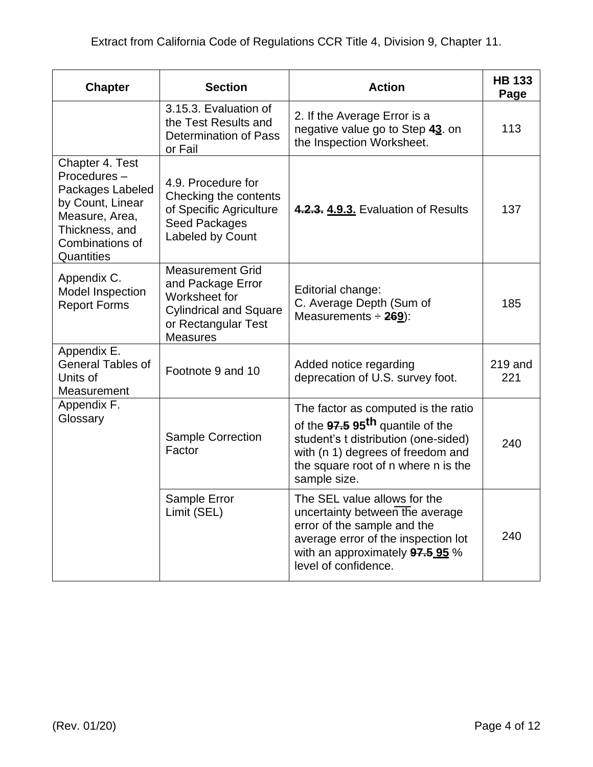| <b>Chapter</b>                                                                                                                              | <b>Section</b>                                                                                                                           | <b>Action</b>                                                                                                                                                                                                           | <b>HB 133</b><br>Page |
|---------------------------------------------------------------------------------------------------------------------------------------------|------------------------------------------------------------------------------------------------------------------------------------------|-------------------------------------------------------------------------------------------------------------------------------------------------------------------------------------------------------------------------|-----------------------|
|                                                                                                                                             | 3.15.3. Evaluation of<br>the Test Results and<br>Determination of Pass<br>or Fail                                                        | 2. If the Average Error is a<br>negative value go to Step 43. on<br>the Inspection Worksheet.                                                                                                                           | 113                   |
| Chapter 4. Test<br>Procedures-<br>Packages Labeled<br>by Count, Linear<br>Measure, Area,<br>Thickness, and<br>Combinations of<br>Quantities | 4.9. Procedure for<br>Checking the contents<br>of Specific Agriculture<br>Seed Packages<br>Labeled by Count                              | 4.2.3. 4.9.3. Evaluation of Results                                                                                                                                                                                     | 137                   |
| Appendix C.<br><b>Model Inspection</b><br><b>Report Forms</b>                                                                               | <b>Measurement Grid</b><br>and Package Error<br>Worksheet for<br><b>Cylindrical and Square</b><br>or Rectangular Test<br><b>Measures</b> | Editorial change:<br>C. Average Depth (Sum of<br>Measurements $\div$ 269):                                                                                                                                              | 185                   |
| Appendix E.<br><b>General Tables of</b><br>Units of<br>Measurement                                                                          | Footnote 9 and 10                                                                                                                        | Added notice regarding<br>deprecation of U.S. survey foot.                                                                                                                                                              | $219$ and<br>221      |
| Appendix F.<br>Glossary                                                                                                                     | <b>Sample Correction</b><br>Factor                                                                                                       | The factor as computed is the ratio<br>of the 97.5 95 <sup>th</sup> quantile of the<br>student's t distribution (one-sided)<br>with (n 1) degrees of freedom and<br>the square root of n where n is the<br>sample size. | 240                   |
|                                                                                                                                             | Sample Error<br>Limit (SEL)                                                                                                              | The SEL value allows for the<br>uncertainty between the average<br>error of the sample and the<br>average error of the inspection lot<br>with an approximately 97.5 95 %<br>level of confidence.                        | 240                   |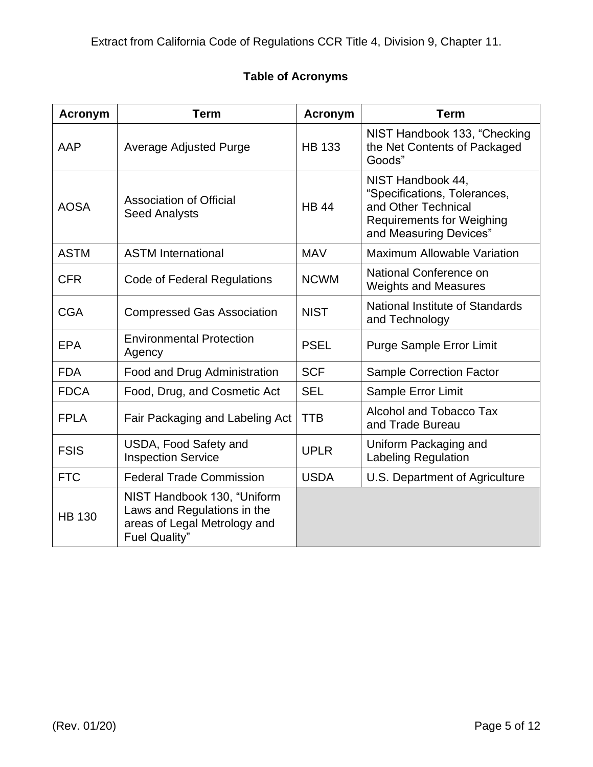## **Table of Acronyms**

| <b>Acronym</b> | <b>Term</b>                                                                                                        | <b>Acronym</b> | <b>Term</b>                                                                                                                            |
|----------------|--------------------------------------------------------------------------------------------------------------------|----------------|----------------------------------------------------------------------------------------------------------------------------------------|
| AAP            | <b>Average Adjusted Purge</b>                                                                                      | <b>HB 133</b>  | NIST Handbook 133, "Checking<br>the Net Contents of Packaged<br>Goods"                                                                 |
| <b>AOSA</b>    | <b>Association of Official</b><br><b>Seed Analysts</b>                                                             | <b>HB 44</b>   | NIST Handbook 44,<br>"Specifications, Tolerances,<br>and Other Technical<br><b>Requirements for Weighing</b><br>and Measuring Devices" |
| <b>ASTM</b>    | <b>ASTM International</b>                                                                                          | <b>MAV</b>     | <b>Maximum Allowable Variation</b>                                                                                                     |
| <b>CFR</b>     | Code of Federal Regulations                                                                                        | <b>NCWM</b>    | National Conference on<br><b>Weights and Measures</b>                                                                                  |
| <b>CGA</b>     | <b>Compressed Gas Association</b>                                                                                  | <b>NIST</b>    | National Institute of Standards<br>and Technology                                                                                      |
| <b>EPA</b>     | <b>Environmental Protection</b><br>Agency                                                                          | <b>PSEL</b>    | <b>Purge Sample Error Limit</b>                                                                                                        |
| <b>FDA</b>     | Food and Drug Administration                                                                                       | <b>SCF</b>     | <b>Sample Correction Factor</b>                                                                                                        |
| <b>FDCA</b>    | Food, Drug, and Cosmetic Act                                                                                       | <b>SEL</b>     | Sample Error Limit                                                                                                                     |
| <b>FPLA</b>    | Fair Packaging and Labeling Act                                                                                    | <b>TTB</b>     | Alcohol and Tobacco Tax<br>and Trade Bureau                                                                                            |
| <b>FSIS</b>    | USDA, Food Safety and<br><b>Inspection Service</b>                                                                 | <b>UPLR</b>    | Uniform Packaging and<br><b>Labeling Regulation</b>                                                                                    |
| <b>FTC</b>     | <b>Federal Trade Commission</b>                                                                                    | <b>USDA</b>    | U.S. Department of Agriculture                                                                                                         |
| <b>HB 130</b>  | NIST Handbook 130, "Uniform<br>Laws and Regulations in the<br>areas of Legal Metrology and<br><b>Fuel Quality"</b> |                |                                                                                                                                        |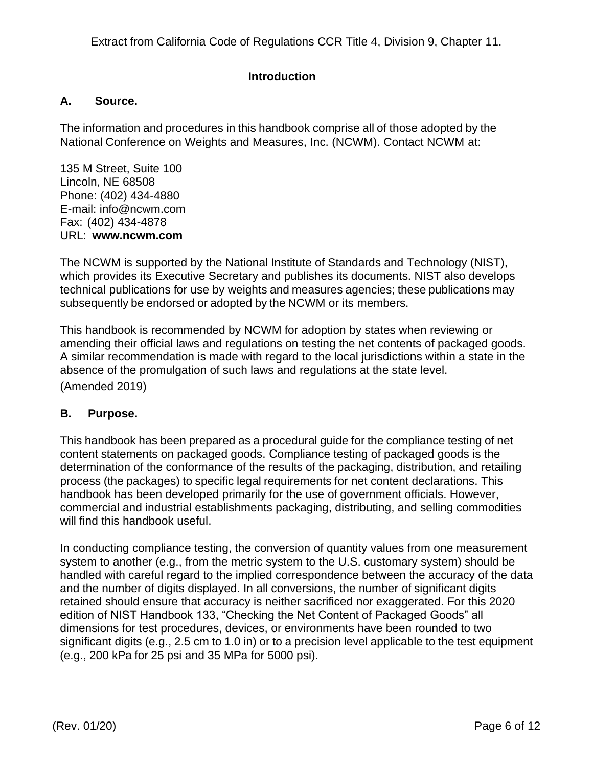Extract from California Code of Regulations CCR Title 4, Division 9, Chapter 11.

#### **Introduction**

#### **A. Source.**

The information and procedures in this handbook comprise all of those adopted by the National Conference on Weights and Measures, Inc. (NCWM). Contact NCWM at:

135 M Street, Suite 100 Lincoln, NE 68508 Phone: (402) 434-4880 [E-mail: info@ncwm.com](mailto:%20%20info@ncwm.com) Fax: (402) 434-4878 URL: **[www.ncwm.com](http://www.ncwm.com/)**

The NCWM is supported by the National Institute of Standards and Technology (NIST), which provides its Executive Secretary and publishes its documents. NIST also develops technical publications for use by weights and measures agencies; these publications may subsequently be endorsed or adopted by the NCWM or its members.

This handbook is recommended by NCWM for adoption by states when reviewing or amending their official laws and regulations on testing the net contents of packaged goods. A similar recommendation is made with regard to the local jurisdictions within a state in the absence of the promulgation of such laws and regulations at the state level. (Amended 2019)

## **B. Purpose.**

This handbook has been prepared as a procedural guide for the compliance testing of net content statements on packaged goods. Compliance testing of packaged goods is the determination of the conformance of the results of the packaging, distribution, and retailing process (the packages) to specific legal requirements for net content declarations. This handbook has been developed primarily for the use of government officials. However, commercial and industrial establishments packaging, distributing, and selling commodities will find this handbook useful.

In conducting compliance testing, the conversion of quantity values from one measurement system to another (e.g., from the metric system to the U.S. customary system) should be handled with careful regard to the implied correspondence between the accuracy of the data and the number of digits displayed. In all conversions, the number of significant digits retained should ensure that accuracy is neither sacrificed nor exaggerated. For this 2020 edition of NIST Handbook 133, "Checking the Net Content of Packaged Goods" all dimensions for test procedures, devices, or environments have been rounded to two significant digits (e.g., 2.5 cm to 1.0 in) or to a precision level applicable to the test equipment (e.g., 200 kPa for 25 psi and 35 MPa for 5000 psi).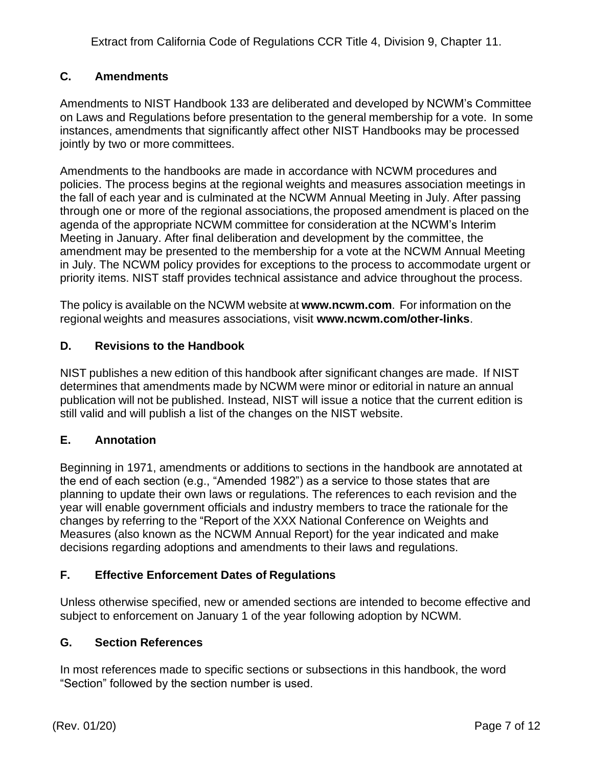## **C. Amendments**

Amendments to NIST Handbook 133 are deliberated and developed by NCWM's Committee on Laws and Regulations before presentation to the general membership for a vote. In some instances, amendments that significantly affect other NIST Handbooks may be processed jointly by two or more committees.

Amendments to the handbooks are made in accordance with NCWM procedures and policies. The process begins at the regional weights and measures association meetings in the fall of each year and is culminated at the NCWM Annual Meeting in July. After passing through one or more of the regional associations, the proposed amendment is placed on the agenda of the appropriate NCWM committee for consideration at the NCWM's Interim Meeting in January. After final deliberation and development by the committee, the amendment may be presented to the membership for a vote at the NCWM Annual Meeting in July. The NCWM policy provides for exceptions to the process to accommodate urgent or priority items. NIST staff provides technical assistance and advice throughout the process.

The policy is available on the NCWM website at **[www.ncwm.com](http://www.ncwm.com/)**. For information on the regional weights and measures associations, visit **[www.ncwm.com/other-links](https://www.ncwm.com/other-links)**.

## **D. Revisions to the Handbook**

NIST publishes a new edition of this handbook after significant changes are made. If NIST determines that amendments made by NCWM were minor or editorial in nature an annual publication will not be published. Instead, NIST will issue a notice that the current edition is still valid and will publish a list of the changes on the NIST website.

## **E. Annotation**

Beginning in 1971, amendments or additions to sections in the handbook are annotated at the end of each section (e.g., "Amended 1982") as a service to those states that are planning to update their own laws or regulations. The references to each revision and the year will enable government officials and industry members to trace the rationale for the changes by referring to the "Report of the XXX National Conference on Weights and Measures (also known as the NCWM Annual Report) for the year indicated and make decisions regarding adoptions and amendments to their laws and regulations.

#### **F. Effective Enforcement Dates of Regulations**

Unless otherwise specified, new or amended sections are intended to become effective and subject to enforcement on January 1 of the year following adoption by NCWM.

#### **G. Section References**

In most references made to specific sections or subsections in this handbook, the word "Section" followed by the section number is used.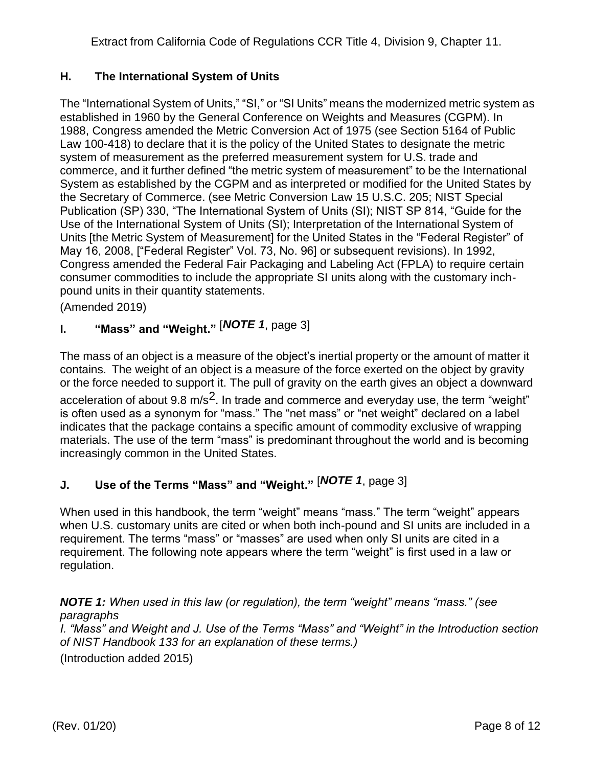## **H. The International System of Units**

The "International System of Units," "SI," or "SI Units" means the modernized metric system as established in 1960 by the General Conference on Weights and Measures (CGPM). In 1988, Congress amended the Metric Conversion Act of 1975 (see Section 5164 of Public Law 100-418) to declare that it is the policy of the United States to designate the metric system of measurement as the preferred measurement system for U.S. trade and commerce, and it further defined "the metric system of measurement" to be the International System as established by the CGPM and as interpreted or modified for the United States by the Secretary of Commerce. (see Metric Conversion Law 15 U.S.C. 205; NIST Special Publication (SP) 330, "The International System of Units (SI); NIST SP 814, "Guide for the Use of the International System of Units (SI); Interpretation of the International System of Units [the Metric System of Measurement] for the United States in the "Federal Register" of May 16, 2008, ["Federal Register" Vol. 73, No. 96] or subsequent revisions). In 1992, Congress amended the Federal Fair Packaging and Labeling Act (FPLA) to require certain consumer commodities to include the appropriate SI units along with the customary inchpound units in their quantity statements.

(Amended 2019)

# **I. "Mass" and "Weight."** [*NOTE 1*, page 3]

The mass of an object is a measure of the object's inertial property or the amount of matter it contains. The weight of an object is a measure of the force exerted on the object by gravity or the force needed to support it. The pull of gravity on the earth gives an object a downward acceleration of about 9.8 m/s<sup>2</sup>. In trade and commerce and everyday use, the term "weight" is often used as a synonym for "mass." The "net mass" or "net weight" declared on a label indicates that the package contains a specific amount of commodity exclusive of wrapping materials. The use of the term "mass" is predominant throughout the world and is becoming increasingly common in the United States.

# **J. Use of the Terms "Mass" and "Weight."** [*NOTE 1*, page 3]

When used in this handbook, the term "weight" means "mass." The term "weight" appears when U.S. customary units are cited or when both inch-pound and SI units are included in a requirement. The terms "mass" or "masses" are used when only SI units are cited in a requirement. The following note appears where the term "weight" is first used in a law or regulation.

## *NOTE 1: When used in this law (or regulation), the term "weight" means "mass." (see paragraphs*

*I. "Mass" and Weight and J. Use of the Terms "Mass" and "Weight" in the Introduction section of NIST Handbook 133 for an explanation of these terms.)* (Introduction added 2015)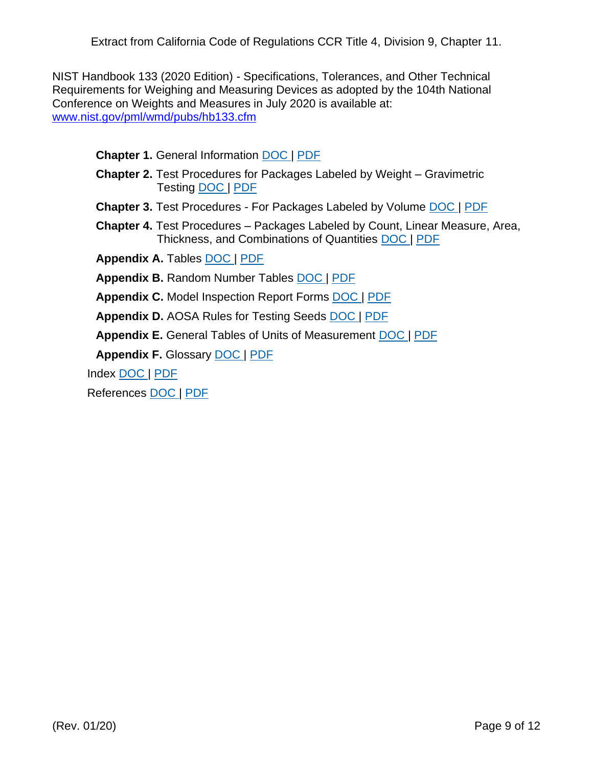NIST Handbook 133 (2020 Edition) - Specifications, Tolerances, and Other Technical Requirements for Weighing and Measuring Devices as adopted by the 104th National Conference on Weights and Measures in July 2020 is available at: [www.nist.gov/pml/wmd/pubs/hb133.cfm](http://www.nist.gov/pml/wmd/pubs/hb133.cfm)

**Chapter 1.** General Information [DOC](https://www.nist.gov/document/00-20-h133-ch1final-9docx-0) | [PDF](https://www.nist.gov/document/00-20-h133-ch1final-9pdf-0)

- **Chapter 2.** Test Procedures for Packages Labeled by Weight Gravimetric Testing [DOC](https://www.nist.gov/document/00-20-h133-ch2final-10docx-0) | [PDF](https://www.nist.gov/document/00-20-h133-ch2final-10pdf)
- **Chapter 3.** Test Procedures For Packages Labeled by Volume [DOC](https://www.nist.gov/document/00-20-h133-ch3final-11docx-0) | [PDF](https://www.nist.gov/document/00-20-h133-ch3final-11pdf)
- **Chapter 4.** Test Procedures Packages Labeled by Count, Linear Measure, Area, Thickness, and Combinations of Quantities [DOC](https://www.nist.gov/document/00-20-h133-ch4final-12docx-0) | [PDF](https://www.nist.gov/document/00-20-h133-ch4final-12pdf-0)

**Appendix A.** Tables [DOC](https://www.nist.gov/document/00-20-h133-apdxafinal-13docx) | [PDF](https://www.nist.gov/document/00-20-h133-apdxafinal-13pdf)

**Appendix B.** Random Number Tables [DOC](https://www.nist.gov/document/00-20-h133-apdxbfinal-14docx) | [PDF](https://www.nist.gov/document/00-20-h133-apdxbfinal-14pdf)

**Appendix C.** Model Inspection Report Forms [DOC](https://www.nist.gov/document/00-20-h133-apdxcfinal-15docx) | [PDF](https://www.nist.gov/document/00-20-h133-apdxcfinal-15pdf)

**Appendix D.** AOSA Rules for Testing Seeds [DOC](https://www.nist.gov/document/00-20-h133-apdxdfinal-16docx) | [PDF](https://www.nist.gov/document/00-20-h133-apdxdfinal-16pdf)

**Appendix E.** General Tables of Units of Measurement [DOC](https://www.nist.gov/document/00-20-h133-apdxefinal-17docx) | [PDF](https://www.nist.gov/document/00-20-h133-apdxefinal-17pdf)

**Appendix F.** Glossary [DOC](https://www.nist.gov/document/00-20-h133-apdxffinal-18docx) | [PDF](https://www.nist.gov/document/00-20-h133-apdxffinal-180pdf)

Index [DOC](https://www.nist.gov/document/00-20-h133-indexfinal-19docx-0) | [PDF](https://www.nist.gov/document/00-20-h133-indexfinal-190pdf)

References [DOC](https://www.nist.gov/document/00-20-h133-referencesfinal-20docx) | [PDF](https://www.nist.gov/document/00-20-h133-referencesfinal-20pdf)